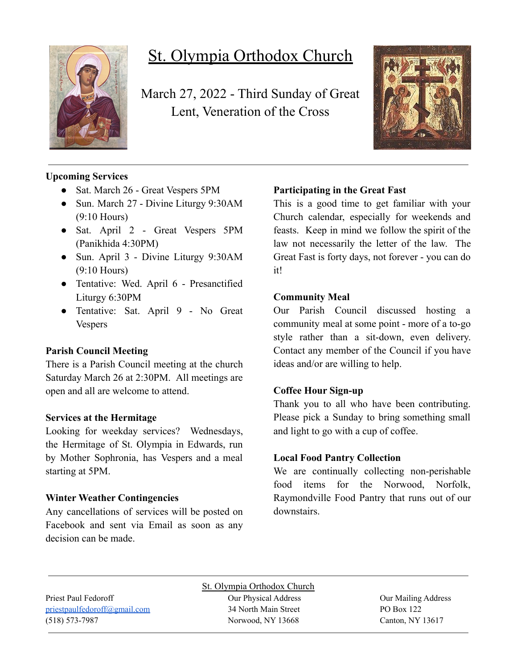

# St. Olympia Orthodox Church

March 27, 2022 - Third Sunday of Great Lent, Veneration of the Cross



# **Upcoming Services**

- Sat. March 26 Great Vespers 5PM
- Sun. March 27 Divine Liturgy 9:30AM (9:10 Hours)
- Sat. April 2 Great Vespers 5PM (Panikhida 4:30PM)
- Sun. April 3 Divine Liturgy 9:30AM (9:10 Hours)
- Tentative: Wed. April 6 Presanctified Liturgy 6:30PM
- Tentative: Sat. April 9 No Great Vespers

## **Parish Council Meeting**

There is a Parish Council meeting at the church Saturday March 26 at 2:30PM. All meetings are open and all are welcome to attend.

## **Services at the Hermitage**

Looking for weekday services? Wednesdays, the Hermitage of St. Olympia in Edwards, run by Mother Sophronia, has Vespers and a meal starting at 5PM.

## **Winter Weather Contingencies**

Any cancellations of services will be posted on Facebook and sent via Email as soon as any decision can be made.

# **Participating in the Great Fast**

This is a good time to get familiar with your Church calendar, especially for weekends and feasts. Keep in mind we follow the spirit of the law not necessarily the letter of the law. The Great Fast is forty days, not forever - you can do it!

#### **Community Meal**

Our Parish Council discussed hosting a community meal at some point - more of a to-go style rather than a sit-down, even delivery. Contact any member of the Council if you have ideas and/or are willing to help.

#### **Coffee Hour Sign-up**

Thank you to all who have been contributing. Please pick a Sunday to bring something small and light to go with a cup of coffee.

#### **Local Food Pantry Collection**

We are continually collecting non-perishable food items for the Norwood, Norfolk, Raymondville Food Pantry that runs out of our downstairs.

St. Olympia Orthodox Church Priest Paul Fedoroff **Our Physical Address** Our Physical Address **Our Mailing Address** [priestpaulfedoroff@gmail.com](mailto:priestpaulfedoroff@gmail.com) 34 North Main Street PO Box 122 (518) 573-7987 Norwood, NY 13668 Canton, NY 13617